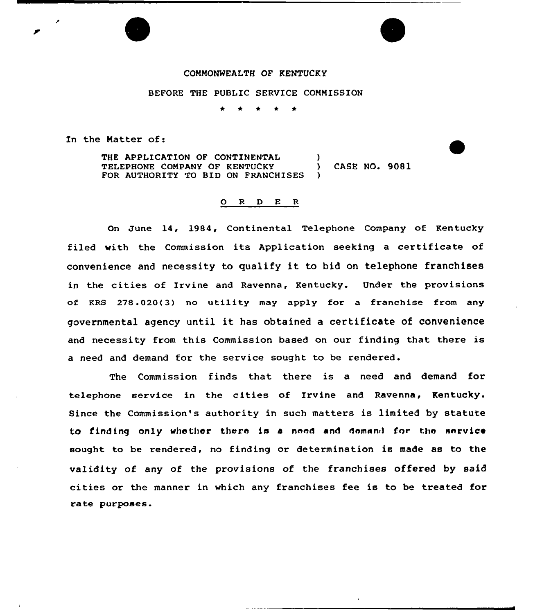## COMMONWEALTH OF KENTUCKY

BEFORE THE PUBLIC SERVICE COMMISSION

\* \* \* \*

In the Natter of:

THE APPLICATION OF CONTINENTAL (1)<br>TELEPHONE COMPANY OF KENTUCKY TELEPHONE COMPANY OF KENTUCKY (ASE NO. 9081 FOR AUTHORITY TO BID ON FRANCHISES

## 0 <sup>R</sup> <sup>D</sup> E R

On June 14, 1984, Continental Telephone Company of Kentucky filed with the Commission its Application seeking <sup>a</sup> certificate of convenience and necessity to qualify it to bid on telephone franchises in the cities of Irvine and Ravenna, Kentucky. Under the provisions of KRS 278.020<3) no utility may apply for a franchise from any governmental agency until it has obtained <sup>a</sup> certificate of convenience and necessity from this Commission based on our finding that there is a need and demand for the service sought to be rendered.

The Commission finds that there is a need and demand for telephone service in the cities of Irvine and Ravenna, Kentucky. Since the Commission's authority in such matters is limited by statute to finding only whether there is a need and demand for the service sought to be rendered, no finding or determination is made as to the validity of any of the provisions of the franchises offered by said cities or the manner in which any franchises fee is to be treated for ra te pur poses.